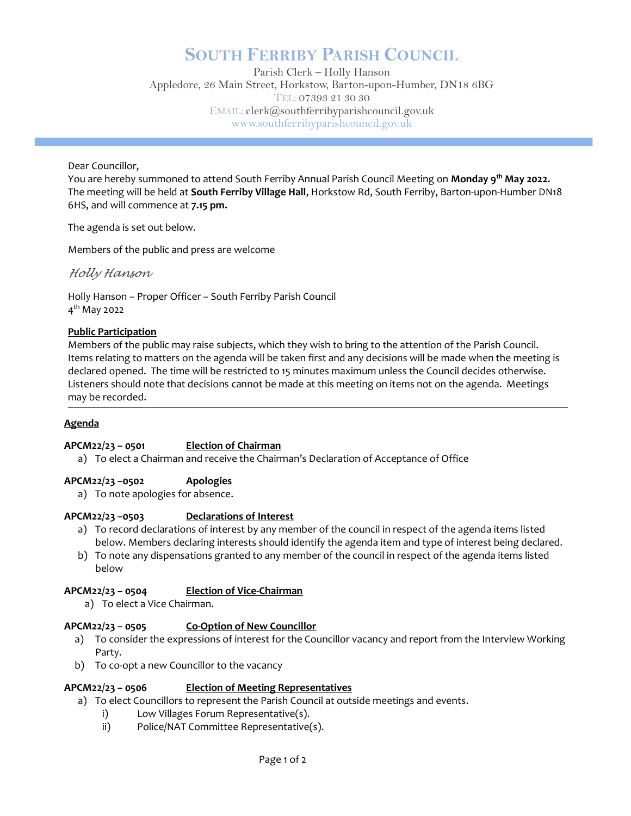# SOUTH FERRIBY PARISH COUNCIL

Parish Clerk – Holly Hanson Appledore, 26 Main Street, Horkstow, Barton-upon-Humber, DN18 6BG TEL: 07393 21 30 30 EMAIL: clerk@southferribyparishcouncil.gov.uk www.southferribyparishcouncil.gov.uk

Dear Councillor,

You are hereby summoned to attend South Ferriby Annual Parish Council Meeting on **Monday 9<sup>th</sup> May 2022.** The meeting will be held at South Ferriby Village Hall, Horkstow Rd, South Ferriby, Barton-upon-Humber DN18 6HS, and will commence at 7.15 pm.

The agenda is set out below.

Members of the public and press are welcome

Holly Hanson

Holly Hanson – Proper Officer – South Ferriby Parish Council 4<sup>th</sup> May 2022

# Public Participation

Members of the public may raise subjects, which they wish to bring to the attention of the Parish Council. Items relating to matters on the agenda will be taken first and any decisions will be made when the meeting is declared opened. The time will be restricted to 15 minutes maximum unless the Council decides otherwise. Listeners should note that decisions cannot be made at this meeting on items not on the agenda. Meetings may be recorded.

### Ĩ **Agenda**

# APCM22/23 – 0501 Election of Chairman

a) To elect a Chairman and receive the Chairman's Declaration of Acceptance of Office

# APCM22/23 –0502 Apologies

a) To note apologies for absence.

# APCM22/23 –0503 Declarations of Interest

- a) To record declarations of interest by any member of the council in respect of the agenda items listed below. Members declaring interests should identify the agenda item and type of interest being declared.
- b) To note any dispensations granted to any member of the council in respect of the agenda items listed below

# APCM22/23 – 0504 Election of Vice-Chairman

a) To elect a Vice Chairman.

# APCM22/23 – 0505 Co-Option of New Councillor

- a) To consider the expressions of interest for the Councillor vacancy and report from the Interview Working Party.
- b) To co-opt a new Councillor to the vacancy

# APCM22/23 – 0506 Election of Meeting Representatives

- a) To elect Councillors to represent the Parish Council at outside meetings and events.
	- i) Low Villages Forum Representative(s).
	- ii) Police/NAT Committee Representative(s).